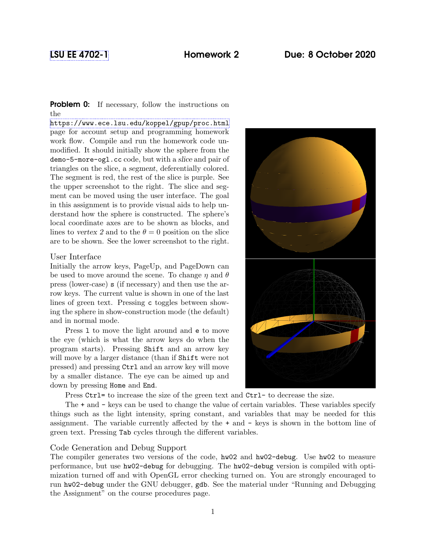**Problem 0:** If necessary, follow the instructions on the

<https://www.ece.lsu.edu/koppel/gpup/proc.html> page for account setup and programming homework work flow. Compile and run the homework code unmodified. It should initially show the sphere from the demo-5-more-ogl.cc code, but with a slice and pair of triangles on the slice, a segment, deferentially colored. The segment is red, the rest of the slice is purple. See the upper screenshot to the right. The slice and segment can be moved using the user interface. The goal in this assignment is to provide visual aids to help understand how the sphere is constructed. The sphere's local coordinate axes are to be shown as blocks, and lines to vertex 2 and to the  $\theta = 0$  position on the slice are to be shown. See the lower screenshot to the right.

## User Interface

Initially the arrow keys, PageUp, and PageDown can be used to move around the scene. To change  $\eta$  and  $\theta$ press (lower-case) s (if necessary) and then use the arrow keys. The current value is shown in one of the last lines of green text. Pressing c toggles between showing the sphere in show-construction mode (the default) and in normal mode.

Press l to move the light around and e to move the eye (which is what the arrow keys do when the program starts). Pressing Shift and an arrow key will move by a larger distance (than if **Shift** were not pressed) and pressing Ctrl and an arrow key will move by a smaller distance. The eye can be aimed up and down by pressing Home and End.

Press Ctrl= to increase the size of the green text and Ctrl- to decrease the size.

The + and - keys can be used to change the value of certain variables. These variables specify things such as the light intensity, spring constant, and variables that may be needed for this assignment. The variable currently affected by the + and - keys is shown in the bottom line of green text. Pressing Tab cycles through the different variables.

## Code Generation and Debug Support

The compiler generates two versions of the code, hw02 and hw02-debug. Use hw02 to measure performance, but use hw02-debug for debugging. The hw02-debug version is compiled with optimization turned off and with OpenGL error checking turned on. You are strongly encouraged to run hw02-debug under the GNU debugger, gdb. See the material under "Running and Debugging the Assignment" on the course procedures page.